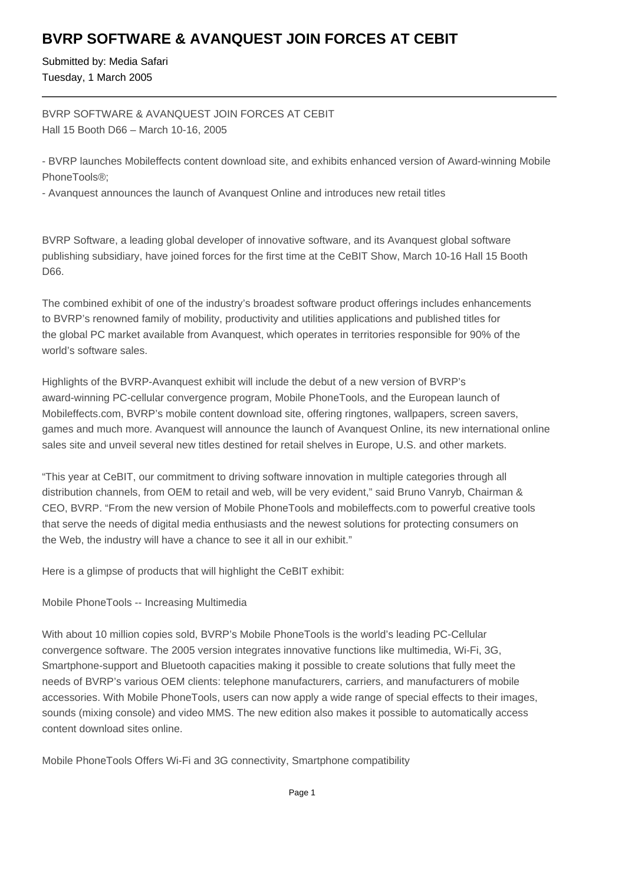# **BVRP SOFTWARE & AVANQUEST JOIN FORCES AT CEBIT**

Submitted by: Media Safari Tuesday, 1 March 2005

BVRP SOFTWARE & AVANQUEST JOIN FORCES AT CEBIT Hall 15 Booth D66 – March 10-16, 2005

- BVRP launches Mobileffects content download site, and exhibits enhanced version of Award-winning Mobile PhoneTools®;

- Avanquest announces the launch of Avanquest Online and introduces new retail titles

BVRP Software, a leading global developer of innovative software, and its Avanquest global software publishing subsidiary, have joined forces for the first time at the CeBIT Show, March 10-16 Hall 15 Booth D66.

The combined exhibit of one of the industry's broadest software product offerings includes enhancements to BVRP's renowned family of mobility, productivity and utilities applications and published titles for the global PC market available from Avanquest, which operates in territories responsible for 90% of the world's software sales.

Highlights of the BVRP-Avanquest exhibit will include the debut of a new version of BVRP's award-winning PC-cellular convergence program, Mobile PhoneTools, and the European launch of Mobileffects.com, BVRP's mobile content download site, offering ringtones, wallpapers, screen savers, games and much more. Avanquest will announce the launch of Avanquest Online, its new international online sales site and unveil several new titles destined for retail shelves in Europe, U.S. and other markets.

"This year at CeBIT, our commitment to driving software innovation in multiple categories through all distribution channels, from OEM to retail and web, will be very evident," said Bruno Vanryb, Chairman & CEO, BVRP. "From the new version of Mobile PhoneTools and mobileffects.com to powerful creative tools that serve the needs of digital media enthusiasts and the newest solutions for protecting consumers on the Web, the industry will have a chance to see it all in our exhibit."

Here is a glimpse of products that will highlight the CeBIT exhibit:

Mobile PhoneTools -- Increasing Multimedia

With about 10 million copies sold, BVRP's Mobile PhoneTools is the world's leading PC-Cellular convergence software. The 2005 version integrates innovative functions like multimedia, Wi-Fi, 3G, Smartphone-support and Bluetooth capacities making it possible to create solutions that fully meet the needs of BVRP's various OEM clients: telephone manufacturers, carriers, and manufacturers of mobile accessories. With Mobile PhoneTools, users can now apply a wide range of special effects to their images, sounds (mixing console) and video MMS. The new edition also makes it possible to automatically access content download sites online.

Mobile PhoneTools Offers Wi-Fi and 3G connectivity, Smartphone compatibility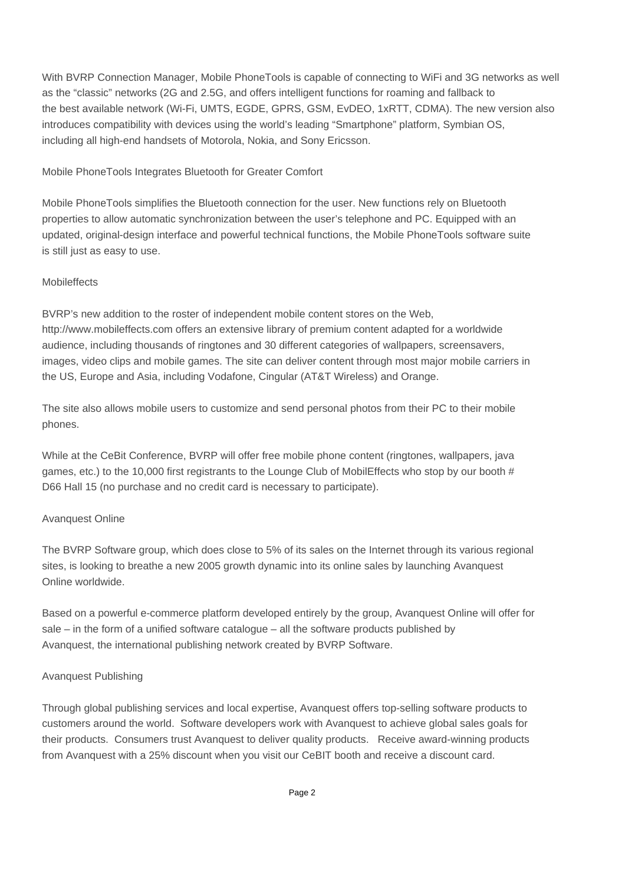With BVRP Connection Manager, Mobile PhoneTools is capable of connecting to WiFi and 3G networks as well as the "classic" networks (2G and 2.5G, and offers intelligent functions for roaming and fallback to the best available network (Wi-Fi, UMTS, EGDE, GPRS, GSM, EvDEO, 1xRTT, CDMA). The new version also introduces compatibility with devices using the world's leading "Smartphone" platform, Symbian OS, including all high-end handsets of Motorola, Nokia, and Sony Ericsson.

Mobile PhoneTools Integrates Bluetooth for Greater Comfort

Mobile PhoneTools simplifies the Bluetooth connection for the user. New functions rely on Bluetooth properties to allow automatic synchronization between the user's telephone and PC. Equipped with an updated, original-design interface and powerful technical functions, the Mobile PhoneTools software suite is still just as easy to use.

### **Mobileffects**

BVRP's new addition to the roster of independent mobile content stores on the Web, http://www.mobileffects.com offers an extensive library of premium content adapted for a worldwide audience, including thousands of ringtones and 30 different categories of wallpapers, screensavers, images, video clips and mobile games. The site can deliver content through most major mobile carriers in the US, Europe and Asia, including Vodafone, Cingular (AT&T Wireless) and Orange.

The site also allows mobile users to customize and send personal photos from their PC to their mobile phones.

While at the CeBit Conference, BVRP will offer free mobile phone content (ringtones, wallpapers, java games, etc.) to the 10,000 first registrants to the Lounge Club of MobilEffects who stop by our booth # D66 Hall 15 (no purchase and no credit card is necessary to participate).

# Avanquest Online

The BVRP Software group, which does close to 5% of its sales on the Internet through its various regional sites, is looking to breathe a new 2005 growth dynamic into its online sales by launching Avanquest Online worldwide.

Based on a powerful e-commerce platform developed entirely by the group, Avanquest Online will offer for sale – in the form of a unified software catalogue – all the software products published by Avanquest, the international publishing network created by BVRP Software.

# Avanquest Publishing

Through global publishing services and local expertise, Avanquest offers top-selling software products to customers around the world. Software developers work with Avanquest to achieve global sales goals for their products. Consumers trust Avanquest to deliver quality products. Receive award-winning products from Avanquest with a 25% discount when you visit our CeBIT booth and receive a discount card.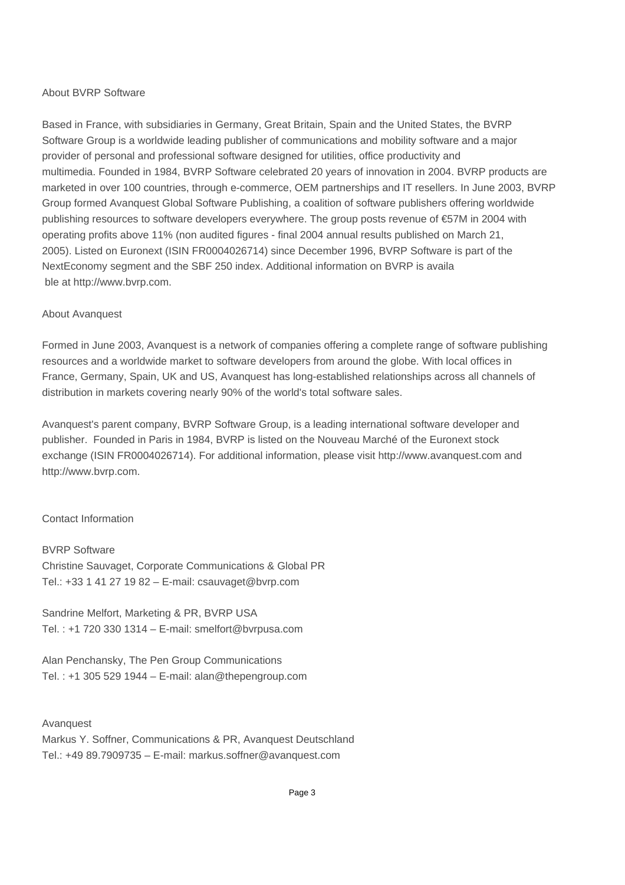#### About BVRP Software

Based in France, with subsidiaries in Germany, Great Britain, Spain and the United States, the BVRP Software Group is a worldwide leading publisher of communications and mobility software and a major provider of personal and professional software designed for utilities, office productivity and multimedia. Founded in 1984, BVRP Software celebrated 20 years of innovation in 2004. BVRP products are marketed in over 100 countries, through e-commerce, OEM partnerships and IT resellers. In June 2003, BVRP Group formed Avanquest Global Software Publishing, a coalition of software publishers offering worldwide publishing resources to software developers everywhere. The group posts revenue of €57M in 2004 with operating profits above 11% (non audited figures - final 2004 annual results published on March 21, 2005). Listed on Euronext (ISIN FR0004026714) since December 1996, BVRP Software is part of the NextEconomy segment and the SBF 250 index. Additional information on BVRP is availa ble at http://www.bvrp.com.

#### About Avanquest

Formed in June 2003, Avanquest is a network of companies offering a complete range of software publishing resources and a worldwide market to software developers from around the globe. With local offices in France, Germany, Spain, UK and US, Avanquest has long-established relationships across all channels of distribution in markets covering nearly 90% of the world's total software sales.

Avanquest's parent company, BVRP Software Group, is a leading international software developer and publisher. Founded in Paris in 1984, BVRP is listed on the Nouveau Marché of the Euronext stock exchange (ISIN FR0004026714). For additional information, please visit http://www.avanquest.com and http://www.bvrp.com.

#### Contact Information

BVRP Software Christine Sauvaget, Corporate Communications & Global PR Tel.: +33 1 41 27 19 82 – E-mail: csauvaget@bvrp.com

Sandrine Melfort, Marketing & PR, BVRP USA Tel. : +1 720 330 1314 – E-mail: smelfort@bvrpusa.com

Alan Penchansky, The Pen Group Communications Tel. : +1 305 529 1944 – E-mail: alan@thepengroup.com

Avanquest Markus Y. Soffner, Communications & PR, Avanquest Deutschland Tel.: +49 89.7909735 – E-mail: markus.soffner@avanquest.com